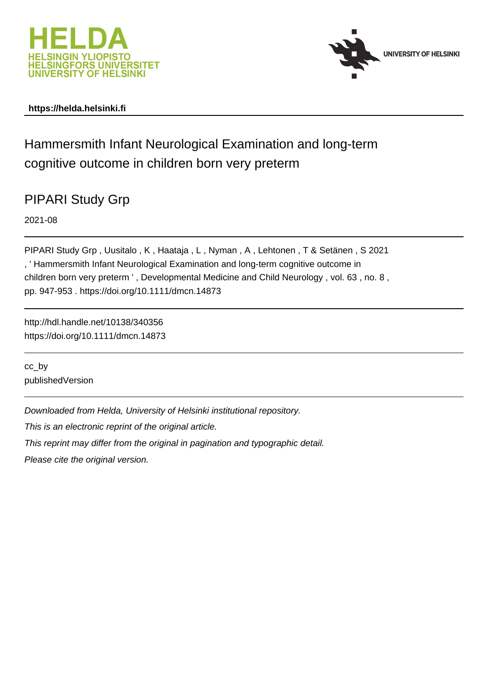



# **https://helda.helsinki.fi**

# Hammersmith Infant Neurological Examination and long-term cognitive outcome in children born very preterm

# PIPARI Study Grp

2021-08

PIPARI Study Grp , Uusitalo , K , Haataja , L , Nyman , A , Lehtonen , T & Setänen , S 2021 , ' Hammersmith Infant Neurological Examination and long-term cognitive outcome in children born very preterm ' , Developmental Medicine and Child Neurology , vol. 63 , no. 8 , pp. 947-953 . https://doi.org/10.1111/dmcn.14873

http://hdl.handle.net/10138/340356 https://doi.org/10.1111/dmcn.14873

cc\_by publishedVersion

Downloaded from Helda, University of Helsinki institutional repository.

This is an electronic reprint of the original article.

This reprint may differ from the original in pagination and typographic detail.

Please cite the original version.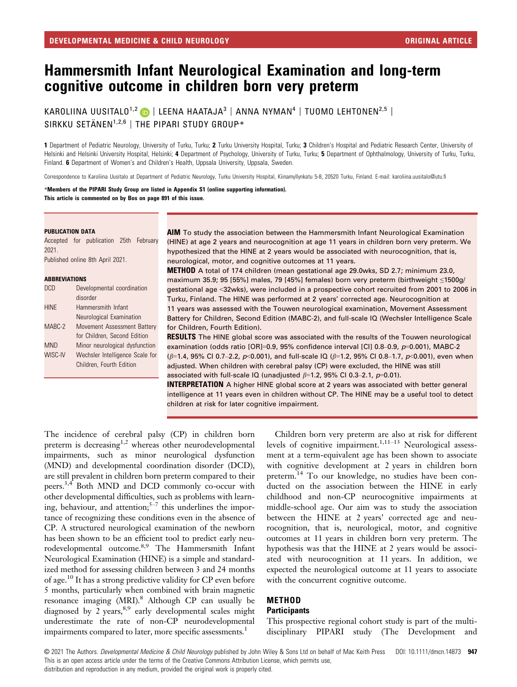# Hammersmith Infant Neurological Examination and long-term cognitive outcome in children born very preterm

KAROLIINA UUSITALO<sup>1,2</sup> D | LEENA HAATAJA<sup>3</sup> | ANNA NYMAN<sup>4</sup> | TUOMO LEHTONEN<sup>2,5</sup> |  $SIRKKU$  SETÄNEN $1.2.6$  | THE PIPARI STUDY GROUP\*

1 Department of Pediatric Neurology, University of Turku, Turku; 2 Turku University Hospital, Turku; 3 Children's Hospital and Pediatric Research Center, University of Helsinki and Helsinki University Hospital, Helsinki; 4 Department of Psychology, University of Turku, Turku; 5 Department of Ophthalmology, University of Turku, Turku, Finland. 6 Department of Women's and Children's Health, Uppsala University, Uppsala, Sweden.

Correspondence to Karoliina Uusitalo at Department of Pediatric Neurology, Turku University Hospital, Kiinamyllynkatu 5-8, 20520 Turku, Finland. E-mail: [karoliina.uusitalo@utu.fi](mailto:)

\*Members of the PIPARI Study Group are listed in Appendix S1 (online supporting information). This article is commented on by Bos on page 891 of this issue.

### PUBLICATION DATA

Accepted for publication 25th February 2021.

Published online 8th April 2021.

### ABBREVIATIONS

| <b>DCD</b>  | Developmental coordination      |
|-------------|---------------------------------|
|             | disorder                        |
| <b>HINE</b> | Hammersmith Infant              |
|             | Neurological Examination        |
| MABC-2      | Movement Assessment Battery     |
|             | for Children, Second Edition    |
| <b>MND</b>  | Minor neurological dysfunction  |
| WISC-IV     | Wechsler Intelligence Scale for |
|             | Children, Fourth Edition        |
|             |                                 |

AIM To study the association between the Hammersmith Infant Neurological Examination (HINE) at age 2 years and neurocognition at age 11 years in children born very preterm. We hypothesized that the HINE at 2 years would be associated with neurocognition, that is, neurological, motor, and cognitive outcomes at 11 years.

METHOD A total of 174 children (mean gestational age 29.0wks, SD 2.7; minimum 23.0, maximum 35.9; 95 [55%] males, 79 [45%] females) born very preterm (birthweight ≤1500g/ gestational age <32wks), were included in a prospective cohort recruited from 2001 to 2006 in Turku, Finland. The HINE was performed at 2 years' corrected age. Neurocognition at 11 years was assessed with the Touwen neurological examination, Movement Assessment Battery for Children, Second Edition (MABC-2), and full-scale IQ (Wechsler Intelligence Scale for Children, Fourth Edition).

**RESULTS** The HINE global score was associated with the results of the Touwen neurological examination (odds ratio [OR]=0.9, 95% confidence interval [CI] 0.8–0.9,  $p=0.001$ ), MABC-2  $(\beta=1.4, 95\% \text{ Cl } 0.7-2.2, p<0.001)$ , and full-scale IQ  $(\beta=1.2, 95\% \text{ Cl } 0.8-1.7, p<0.001)$ , even when adjusted. When children with cerebral palsy (CP) were excluded, the HINE was still associated with full-scale IQ (unadjusted  $\beta$ =1.2, 95% CI 0.3-2.1, p=0.01).

**INTERPRETATION** A higher HINE global score at 2 years was associated with better general intelligence at 11 years even in children without CP. The HINE may be a useful tool to detect children at risk for later cognitive impairment.

The incidence of cerebral palsy (CP) in children born preterm is decreasing<sup>1,2</sup> whereas other neurodevelopmental impairments, such as minor neurological dysfunction (MND) and developmental coordination disorder (DCD), are still prevalent in children born preterm compared to their peers.3,4 Both MND and DCD commonly co-occur with other developmental difficulties, such as problems with learning, behaviour, and attention; $5-7$  this underlines the importance of recognizing these conditions even in the absence of CP. A structured neurological examination of the newborn has been shown to be an efficient tool to predict early neurodevelopmental outcome.8,9 The Hammersmith Infant Neurological Examination (HINE) is a simple and standardized method for assessing children between 3 and 24 months of age.<sup>10</sup> It has a strong predictive validity for CP even before 5 months, particularly when combined with brain magnetic resonance imaging (MRI).<sup>8</sup> Although CP can usually be diagnosed by  $\frac{1}{2}$  years,  $8,9$  early developmental scales might underestimate the rate of non-CP neurodevelopmental impairments compared to later, more specific assessments.<sup>1</sup>

Children born very preterm are also at risk for different levels of cognitive impairment.<sup>1,11–13</sup> Neurological assessment at a term-equivalent age has been shown to associate with cognitive development at 2 years in children born preterm.<sup>14</sup> To our knowledge, no studies have been conducted on the association between the HINE in early childhood and non-CP neurocognitive impairments at middle-school age. Our aim was to study the association between the HINE at 2 years' corrected age and neurocognition, that is, neurological, motor, and cognitive outcomes at 11 years in children born very preterm. The hypothesis was that the HINE at 2 years would be associated with neurocognition at 11 years. In addition, we expected the neurological outcome at 11 years to associate with the concurrent cognitive outcome.

# METHOD

# **Participants**

This prospective regional cohort study is part of the multidisciplinary PIPARI study (The Development and

© 2021 The Authors. Developmental Medicine & Child Neurology published by John Wiley & Sons Ltd on behalf of Mac Keith Press DOI: 10.1111/dmcn.14873 947 This is an open access article under the terms of the [Creative Commons Attribution](http://creativecommons.org/licenses/by/4.0/) License, which permits use, distribution and reproduction in any medium, provided the original work is properly cited.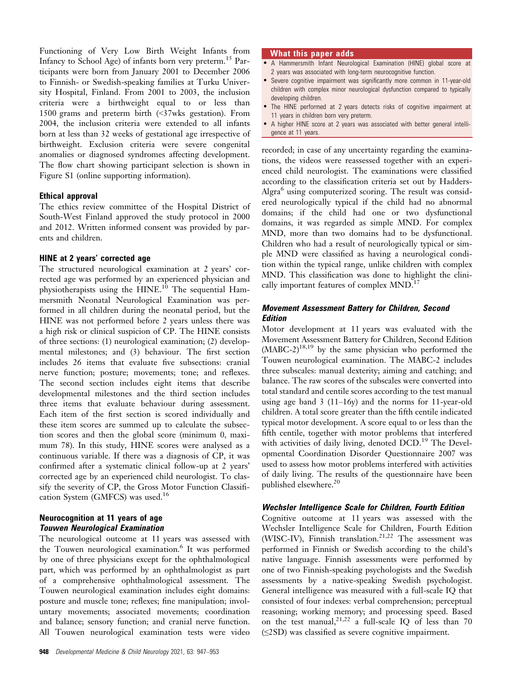Functioning of Very Low Birth Weight Infants from Infancy to School Age) of infants born very preterm.<sup>15</sup> Participants were born from January 2001 to December 2006 to Finnish- or Swedish-speaking families at Turku University Hospital, Finland. From 2001 to 2003, the inclusion criteria were a birthweight equal to or less than 1500 grams and preterm birth (<37wks gestation). From 2004, the inclusion criteria were extended to all infants born at less than 32 weeks of gestational age irrespective of birthweight. Exclusion criteria were severe congenital anomalies or diagnosed syndromes affecting development. The flow chart showing participant selection is shown in Figure S1 (online supporting information).

## Ethical approval

The ethics review committee of the Hospital District of South-West Finland approved the study protocol in 2000 and 2012. Written informed consent was provided by parents and children.

# HINE at 2 years' corrected age

The structured neurological examination at 2 years' corrected age was performed by an experienced physician and physiotherapists using the HINE.<sup>10</sup> The sequential Hammersmith Neonatal Neurological Examination was performed in all children during the neonatal period, but the HINE was not performed before 2 years unless there was a high risk or clinical suspicion of CP. The HINE consists of three sections: (1) neurological examination; (2) developmental milestones; and (3) behaviour. The first section includes 26 items that evaluate five subsections: cranial nerve function; posture; movements; tone; and reflexes. The second section includes eight items that describe developmental milestones and the third section includes three items that evaluate behaviour during assessment. Each item of the first section is scored individually and these item scores are summed up to calculate the subsection scores and then the global score (minimum 0, maximum 78). In this study, HINE scores were analysed as a continuous variable. If there was a diagnosis of CP, it was confirmed after a systematic clinical follow-up at 2 years' corrected age by an experienced child neurologist. To classify the severity of CP, the Gross Motor Function Classification System (GMFCS) was used.<sup>16</sup>

# Neurocognition at 11 years of age Touwen Neurological Examination

The neurological outcome at 11 years was assessed with the Touwen neurological examination.<sup>6</sup> It was performed by one of three physicians except for the ophthalmological part, which was performed by an ophthalmologist as part of a comprehensive ophthalmological assessment. The Touwen neurological examination includes eight domains: posture and muscle tone; reflexes; fine manipulation; involuntary movements; associated movements; coordination and balance; sensory function; and cranial nerve function. All Touwen neurological examination tests were video

# What this paper adds

- A Hammersmith Infant Neurological Examination (HINE) global score at 2 years was associated with long-term neurocognitive function.
- Severe cognitive impairment was significantly more common in 11-year-old children with complex minor neurological dysfunction compared to typically developing children.
- The HINE performed at 2 years detects risks of cognitive impairment at 11 years in children born very preterm.
- A higher HINE score at 2 years was associated with better general intelligence at 11 years.

recorded; in case of any uncertainty regarding the examinations, the videos were reassessed together with an experienced child neurologist. The examinations were classified according to the classification criteria set out by Hadders-Algra<sup>6</sup> using computerized scoring. The result was considered neurologically typical if the child had no abnormal domains; if the child had one or two dysfunctional domains, it was regarded as simple MND. For complex MND, more than two domains had to be dysfunctional. Children who had a result of neurologically typical or simple MND were classified as having a neurological condition within the typical range, unlike children with complex MND. This classification was done to highlight the clinically important features of complex MND.<sup>17</sup>

# Movement Assessment Battery for Children, Second **Edition**

Motor development at 11 years was evaluated with the Movement Assessment Battery for Children, Second Edition  $(MABC-2)^{18,19}$  by the same physician who performed the Touwen neurological examination. The MABC-2 includes three subscales: manual dexterity; aiming and catching; and balance. The raw scores of the subscales were converted into total standard and centile scores according to the test manual using age band  $3(11-16y)$  and the norms for 11-year-old children. A total score greater than the fifth centile indicated typical motor development. A score equal to or less than the fifth centile, together with motor problems that interfered with activities of daily living, denoted DCD.<sup>19</sup> The Developmental Coordination Disorder Questionnaire 2007 was used to assess how motor problems interfered with activities of daily living. The results of the questionnaire have been published elsewhere.<sup>20</sup>

## Wechsler Intelligence Scale for Children, Fourth Edition

Cognitive outcome at 11 years was assessed with the Wechsler Intelligence Scale for Children, Fourth Edition (WISC-IV), Finnish translation.<sup>21,22</sup> The assessment was performed in Finnish or Swedish according to the child's native language. Finnish assessments were performed by one of two Finnish-speaking psychologists and the Swedish assessments by a native-speaking Swedish psychologist. General intelligence was measured with a full-scale IQ that consisted of four indexes: verbal comprehension; perceptual reasoning; working memory; and processing speed. Based on the test manual,  $2^{1,22}$  a full-scale IO of less than 70 (≤2SD) was classified as severe cognitive impairment.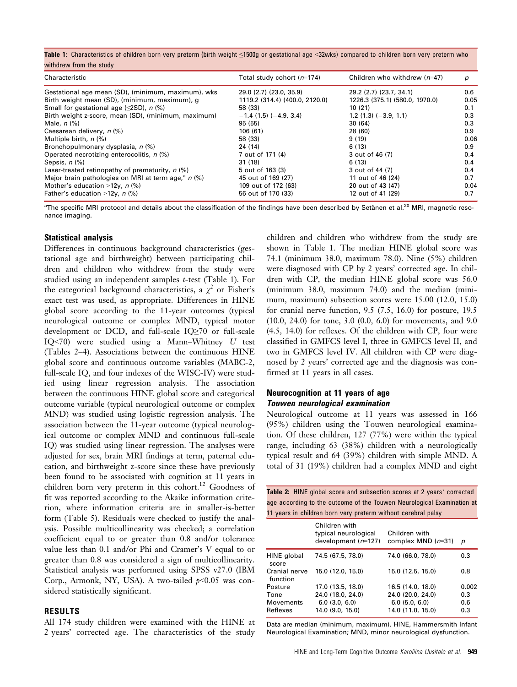Table 1: Characteristics of children born very preterm (birth weight ≤1500g or gestational age <32wks) compared to children born very preterm who withdrew from the study

| Characteristic                                      | Total study cohort $(n=174)$   | Children who withdrew $(n=47)$ | p    |
|-----------------------------------------------------|--------------------------------|--------------------------------|------|
| Gestational age mean (SD), (minimum, maximum), wks  | 29.0 (2.7) (23.0, 35.9)        | 29.2 (2.7) (23.7, 34.1)        | 0.6  |
| Birth weight mean (SD), (minimum, maximum), g       | 1119.2 (314.4) (400.0, 2120.0) | 1226.3 (375.1) (580.0, 1970.0) | 0.05 |
| Small for gestational age $(\leq 2SD)$ , n $(\%)$   | 58 (33)                        | 10(21)                         | 0.1  |
| Birth weight z-score, mean (SD), (minimum, maximum) | $-1.4$ (1.5) ( $-4.9$ , 3.4)   | $1.2(1.3)(-3.9, 1.1)$          | 0.3  |
| Male, $n$ $\left(\frac{9}{6}\right)$                | 95 (55)                        | 30(64)                         | 0.3  |
| Caesarean delivery, n (%)                           | 106(61)                        | 28 (60)                        | 0.9  |
| Multiple birth, $n$ (%)                             | 58 (33)                        | 9(19)                          | 0.06 |
| Bronchopulmonary dysplasia, n (%)                   | 24 (14)                        | 6(13)                          | 0.9  |
| Operated necrotizing enterocolitis, n (%)           | 7 out of 171 (4)               | 3 out of 46 (7)                | 0.4  |
| Sepsis, $n$ $(\%)$                                  | 31 (18)                        | 6 (13)                         | 0.4  |
| Laser-treated retinopathy of prematurity, $n$ (%)   | 5 out of 163 (3)               | 3 out of 44 (7)                | 0.4  |
| Major brain pathologies on MRI at term age, $n$ (%) | 45 out of 169 (27)             | 11 out of 46 (24)              | 0.7  |
| Mother's education >12 $v$ , n (%)                  | 109 out of 172 (63)            | 20 out of 43 (47)              | 0.04 |
| Father's education >12y, $n$ (%)                    | 56 out of 170 (33)             | 12 out of 41 (29)              | 0.7  |

 $a$ The specific MRI protocol and details about the classification of the findings have been described by Setänen et al.<sup>20</sup> MRI, magnetic resonance imaging.

## Statistical analysis

Differences in continuous background characteristics (gestational age and birthweight) between participating children and children who withdrew from the study were studied using an independent samples t-test (Table 1). For the categorical background characteristics, a  $\chi^2$  or Fisher's exact test was used, as appropriate. Differences in HINE global score according to the 11-year outcomes (typical neurological outcome or complex MND, typical motor development or DCD, and full-scale IQ≥70 or full-scale IQ<70) were studied using a Mann–Whitney U test (Tables 2–4). Associations between the continuous HINE global score and continuous outcome variables (MABC-2, full-scale IQ, and four indexes of the WISC-IV) were studied using linear regression analysis. The association between the continuous HINE global score and categorical outcome variable (typical neurological outcome or complex MND) was studied using logistic regression analysis. The association between the 11-year outcome (typical neurological outcome or complex MND and continuous full-scale IQ) was studied using linear regression. The analyses were adjusted for sex, brain MRI findings at term, paternal education, and birthweight z-score since these have previously been found to be associated with cognition at 11 years in children born very preterm in this cohort.<sup>12</sup> Goodness of fit was reported according to the Akaike information criterion, where information criteria are in smaller-is-better form (Table 5). Residuals were checked to justify the analysis. Possible multicollinearity was checked; a correlation coefficient equal to or greater than 0.8 and/or tolerance value less than 0.1 and/or Phi and Cramer's V equal to or greater than 0.8 was considered a sign of multicollinearity. Statistical analysis was performed using SPSS v27.0 (IBM Corp., Armonk, NY, USA). A two-tailed  $p<0.05$  was considered statistically significant.

# RESULTS

All 174 study children were examined with the HINE at 2 years' corrected age. The characteristics of the study children and children who withdrew from the study are shown in Table 1. The median HINE global score was 74.1 (minimum 38.0, maximum 78.0). Nine (5%) children were diagnosed with CP by 2 years' corrected age. In children with CP, the median HINE global score was 56.0 (minimum 38.0, maximum 74.0) and the median (minimum, maximum) subsection scores were 15.00 (12.0, 15.0) for cranial nerve function, 9.5 (7.5, 16.0) for posture, 19.5 (10.0, 24.0) for tone, 3.0 (0.0, 6.0) for movements, and 9.0 (4.5, 14.0) for reflexes. Of the children with CP, four were classified in GMFCS level I, three in GMFCS level II, and two in GMFCS level IV. All children with CP were diagnosed by 2 years' corrected age and the diagnosis was confirmed at 11 years in all cases.

# Neurocognition at 11 years of age Touwen neurological examination

Neurological outcome at 11 years was assessed in 166 (95%) children using the Touwen neurological examination. Of these children, 127 (77%) were within the typical range, including 63 (38%) children with a neurologically typical result and 64 (39%) children with simple MND. A total of 31 (19%) children had a complex MND and eight

Table 2: HINE global score and subsection scores at 2 years' corrected age according to the outcome of the Touwen Neurological Examination at 11 years in children born very preterm without cerebral palsy

|                           | Children with<br>typical neurological<br>development $(n=127)$ | Children with<br>complex MND $(n=31)$ | р     |
|---------------------------|----------------------------------------------------------------|---------------------------------------|-------|
| HINE global<br>score      | 74.5 (67.5, 78.0)                                              | 74.0 (66.0, 78.0)                     | 0.3   |
| Cranial nerve<br>function | 15.0 (12.0, 15.0)                                              | 15.0 (12.5, 15.0)                     | 0.8   |
| Posture                   | 17.0 (13.5, 18.0)                                              | 16.5 (14.0, 18.0)                     | 0.002 |
| Tone                      | 24.0 (18.0, 24.0)                                              | 24.0 (20.0, 24.0)                     | 0.3   |
| Movements                 | $6.0$ $(3.0, 6.0)$                                             | 6.0(5.0, 6.0)                         | 0.6   |
| Reflexes                  | 14.0 (9.0, 15.0)                                               | 14.0 (11.0, 15.0)                     | 0.3   |
|                           |                                                                |                                       |       |

Data are median (minimum, maximum). HINE, Hammersmith Infant Neurological Examination; MND, minor neurological dysfunction.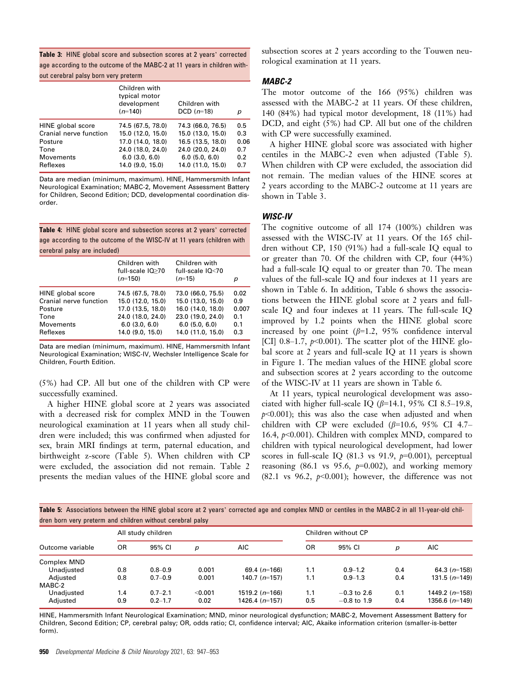Table 3: HINE global score and subsection scores at 2 years' corrected age according to the outcome of the MABC-2 at 11 years in children with-

out cerebral palsy born very preterm

|                        | Children with<br>typical motor<br>development<br>$(n=140)$ | Children with<br>$DCD(n=18)$ | р    |
|------------------------|------------------------------------------------------------|------------------------------|------|
| HINE global score      | 74.5 (67.5, 78.0)                                          | 74.3 (66.0, 76.5)            | 0.5  |
| Cranial nerve function | 15.0 (12.0, 15.0)                                          | 15.0(13.0, 15.0)             | 0.3  |
| Posture                | 17.0 (14.0, 18.0)                                          | 16.5 (13.5, 18.0)            | 0.06 |
| Tone                   | 24.0 (18.0, 24.0)                                          | 24.0 (20.0, 24.0)            | 0.7  |
| Movements              | $6.0$ $(3.0, 6.0)$                                         | $6.0$ $(5.0, 6.0)$           | 0.2  |
| Reflexes               | 14.0 (9.0, 15.0)                                           | 14.0 (11.0, 15.0)            | 0.7  |

Data are median (minimum, maximum). HINE, Hammersmith Infant Neurological Examination; MABC-2, Movement Assessment Battery for Children, Second Edition; DCD, developmental coordination disorder.

Table 4: HINE global score and subsection scores at 2 years' corrected age according to the outcome of the WISC-IV at 11 years (children with cerebral palsy are included)

|                        | Children with<br>full-scale IQ>70<br>$(n=150)$ | Children with<br>full-scale IQ<70<br>$(n=15)$ | р     |
|------------------------|------------------------------------------------|-----------------------------------------------|-------|
| HINE global score      | 74.5 (67.5, 78.0)                              | 73.0 (66.0, 75.5)                             | 0.02  |
| Cranial nerve function | 15.0(12.0.15.0)                                | 15.0 (13.0, 15.0)                             | 0.9   |
| Posture                | 17.0 (13.5, 18.0)                              | 16.0 (14.0, 18.0)                             | 0.007 |
| Tone                   | 24.0 (18.0, 24.0)                              | 23.0 (19.0, 24.0)                             | 0.1   |
| Movements              | $6.0$ $(3.0, 6.0)$                             | $6.0$ (5.0, 6.0)                              | 0.1   |
| Reflexes               | 14.0 (9.0, 15.0)                               | 14.0 (11.0, 15.0)                             | 0.3   |

Data are median (minimum, maximum). HINE, Hammersmith Infant Neurological Examination; WISC-IV, Wechsler Intelligence Scale for Children, Fourth Edition.

(5%) had CP. All but one of the children with CP were successfully examined.

A higher HINE global score at 2 years was associated with a decreased risk for complex MND in the Touwen neurological examination at 11 years when all study children were included; this was confirmed when adjusted for sex, brain MRI findings at term, paternal education, and birthweight z-score (Table 5). When children with CP were excluded, the association did not remain. Table 2 presents the median values of the HINE global score and subsection scores at 2 years according to the Touwen neurological examination at 11 years.

# MABC-2

The motor outcome of the 166 (95%) children was assessed with the MABC-2 at 11 years. Of these children, 140 (84%) had typical motor development, 18 (11%) had DCD, and eight (5%) had CP. All but one of the children with CP were successfully examined.

A higher HINE global score was associated with higher centiles in the MABC-2 even when adjusted (Table 5). When children with CP were excluded, the association did not remain. The median values of the HINE scores at 2 years according to the MABC-2 outcome at 11 years are shown in Table 3.

# WISC-IV

The cognitive outcome of all 174 (100%) children was assessed with the WISC-IV at 11 years. Of the 165 children without CP, 150 (91%) had a full-scale IQ equal to or greater than 70. Of the children with CP, four (44%) had a full-scale IQ equal to or greater than 70. The mean values of the full-scale IQ and four indexes at 11 years are shown in Table 6. In addition, Table 6 shows the associations between the HINE global score at 2 years and fullscale IQ and four indexes at 11 years. The full-scale IQ improved by 1.2 points when the HINE global score increased by one point  $(\beta=1.2, 95\%$  confidence interval [CI] 0.8–1.7,  $p<0.001$ ). The scatter plot of the HINE global score at 2 years and full-scale IQ at 11 years is shown in Figure 1. The median values of the HINE global score and subsection scores at 2 years according to the outcome of the WISC-IV at 11 years are shown in Table 6.

At 11 years, typical neurological development was associated with higher full-scale IQ  $(\beta=14.1, 95\% \text{ CI } 8.5-19.8,$  $p<0.001$ ); this was also the case when adjusted and when children with CP were excluded  $(\beta=10.6, 95\%$  CI 4.7– 16.4, p<0.001). Children with complex MND, compared to children with typical neurological development, had lower scores in full-scale IO  $(81.3 \text{ vs } 91.9, p=0.001)$ , perceptual reasoning (86.1 vs 95.6,  $p=0.002$ ), and working memory (82.1 vs 96.2,  $p<0.001$ ); however, the difference was not

Table 5: Associations between the HINE global score at 2 years' corrected age and complex MND or centiles in the MABC-2 in all 11-year-old children born very preterm and children without cerebral palsy

|                  |     | All study children |         |                  |     | Children without CP |     |                  |  |  |  |
|------------------|-----|--------------------|---------|------------------|-----|---------------------|-----|------------------|--|--|--|
| Outcome variable | 0R  | 95% CI             | D       | <b>AIC</b>       | 0R  | 95% CI              | р   | AIC              |  |  |  |
| Complex MND      |     |                    |         |                  |     |                     |     |                  |  |  |  |
| Unadjusted       | 0.8 | $0.8 - 0.9$        | 0.001   | 69.4 $(n=166)$   | 1.1 | $0.9 - 1.2$         | 0.4 | 64.3 $(n=158)$   |  |  |  |
| Adjusted         | 0.8 | $0.7 - 0.9$        | 0.001   | 140.7 $(n=157)$  | 1.1 | $0.9 - 1.3$         | 0.4 | $131.5(n=149)$   |  |  |  |
| MABC-2           |     |                    |         |                  |     |                     |     |                  |  |  |  |
| Unadiusted       | 1.4 | $0.7 - 2.1$        | < 0.001 | 1519.2 $(n=166)$ | 1.1 | $-0.3$ to 2.6       | 0.1 | 1449.2 $(n=158)$ |  |  |  |
| Adjusted         | 0.9 | $0.2 - 1.7$        | 0.02    | 1426.4 $(n=157)$ | 0.5 | $-0.8$ to 1.9       | 0.4 | 1356.6 $(n=149)$ |  |  |  |
|                  |     |                    |         |                  |     |                     |     |                  |  |  |  |

HINE, Hammersmith Infant Neurological Examination; MND, minor neurological dysfunction; MABC-2, Movement Assessment Battery for Children, Second Edition; CP, cerebral palsy; OR, odds ratio; CI, confidence interval; AIC, Akaike information criterion (smaller-is-better form).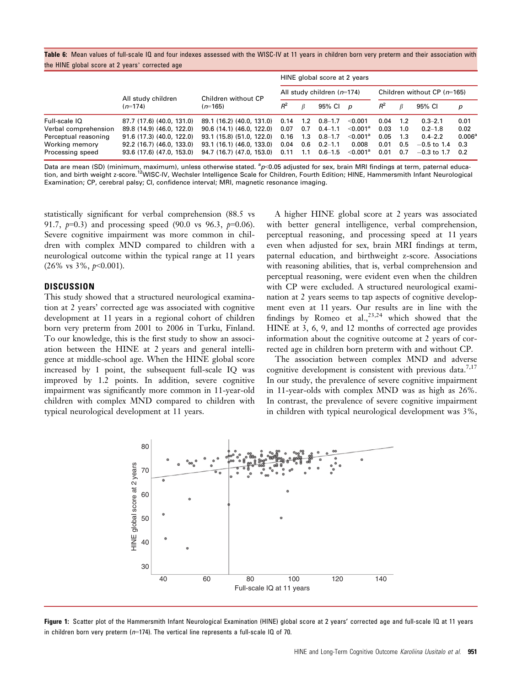|  | Table 6: Mean values of full-scale IQ and four indexes assessed with the WISC-IV at 11 years in children born very preterm and their association with |  |  |  |  |  |  |  |
|--|-------------------------------------------------------------------------------------------------------------------------------------------------------|--|--|--|--|--|--|--|
|  | the HINE global score at 2 years' corrected age                                                                                                       |  |  |  |  |  |  |  |

|                      |                                 |                           | HINE global score at 2 years |                              |             |                               |       |      |               |             |  |
|----------------------|---------------------------------|---------------------------|------------------------------|------------------------------|-------------|-------------------------------|-------|------|---------------|-------------|--|
|                      | All study children<br>$(n=174)$ | Children without CP       |                              | All study children $(n=174)$ |             | Children without CP $(m=165)$ |       |      |               |             |  |
|                      |                                 | $(n=165)$                 | $R^2$                        |                              | 95% Cl p    |                               | $R^2$ |      | 95% CI        | p           |  |
| Full-scale IQ        | 87.7 (17.6) (40.0, 131.0)       | 89.1 (16.2) (40.0, 131.0) | 0.14                         | 1.2                          | $0.8 - 1.7$ | $<$ 0.001                     | 0.04  | 1.2  | $0.3 - 2.1$   | 0.01        |  |
| Verbal comprehension | 89.8 (14.9) (46.0, 122.0)       | 90.6(14.1)(46.0, 122.0)   | 0.07                         | 0.7                          | $0.4 - 1.1$ | $<$ 0.001 $^{\circ}$          | 0.03  | 1.0  | $0.2 - 1.8$   | 0.02        |  |
| Perceptual reasoning | 91.6 (17.3) (40.0, 122.0)       | 93.1 (15.8) (51.0, 122.0) | 0.16                         | 1.3                          | $0.8 - 1.7$ | $<$ 0.001 $^{\circ}$          | 0.05  | -1.3 | $0.4 - 2.2$   | $0.006^{a}$ |  |
| Working memory       | 92.2 (16.7) (46.0, 133.0)       | 93.1 (16.1) (46.0, 133.0) | 0.04                         | 0.6                          | $0.2 - 1.1$ | 0.008                         | 0.01  | 0.5  | $-0.5$ to 1.4 | 0.3         |  |
| Processing speed     | 93.6(17.6)(47.0, 153.0)         | 94.7 (16.7) (47.0, 153.0) | 0.11                         | 1.1                          | $0.6 - 1.5$ | $<$ 0.001 $^{\circ}$          | 0.01  | 0.7  | $-0.3$ to 1.7 | 0.2         |  |

Data are mean (SD) (minimum, maximum), unless otherwise stated. <sup>a</sup>p<0.05 adjusted for sex, brain MRI findings at term, paternal education, and birth weight z-score.<sup>12</sup>WISC-IV, Wechsler Intelligence Scale for Children, Fourth Edition; HINE, Hammersmith Infant Neurological Examination; CP, cerebral palsy; CI, confidence interval; MRI, magnetic resonance imaging.

statistically significant for verbal comprehension (88.5 vs 91.7,  $p=0.3$  and processing speed (90.0 vs 96.3,  $p=0.06$ ). Severe cognitive impairment was more common in children with complex MND compared to children with a neurological outcome within the typical range at 11 years  $(26\% \text{ vs } 3\%, p<0.001).$ 

# **DISCUSSION**

This study showed that a structured neurological examination at 2 years' corrected age was associated with cognitive development at 11 years in a regional cohort of children born very preterm from 2001 to 2006 in Turku, Finland. To our knowledge, this is the first study to show an association between the HINE at 2 years and general intelligence at middle-school age. When the HINE global score increased by 1 point, the subsequent full-scale IQ was improved by 1.2 points. In addition, severe cognitive impairment was significantly more common in 11-year-old children with complex MND compared to children with typical neurological development at 11 years.

A higher HINE global score at 2 years was associated with better general intelligence, verbal comprehension, perceptual reasoning, and processing speed at 11 years even when adjusted for sex, brain MRI findings at term, paternal education, and birthweight z-score. Associations with reasoning abilities, that is, verbal comprehension and perceptual reasoning, were evident even when the children with CP were excluded. A structured neurological examination at 2 years seems to tap aspects of cognitive development even at 11 years. Our results are in line with the findings by Romeo et al.,  $^{23,24}$  which showed that the HINE at 3, 6, 9, and 12 months of corrected age provides information about the cognitive outcome at 2 years of corrected age in children born preterm with and without CP.

The association between complex MND and adverse cognitive development is consistent with previous data.<sup>7,17</sup> In our study, the prevalence of severe cognitive impairment in 11-year-olds with complex MND was as high as 26%. In contrast, the prevalence of severe cognitive impairment in children with typical neurological development was 3%,



Figure 1: Scatter plot of the Hammersmith Infant Neurological Examination (HINE) global score at 2 years' corrected age and full-scale IQ at 11 years in children born very preterm ( $n=174$ ). The vertical line represents a full-scale IQ of 70.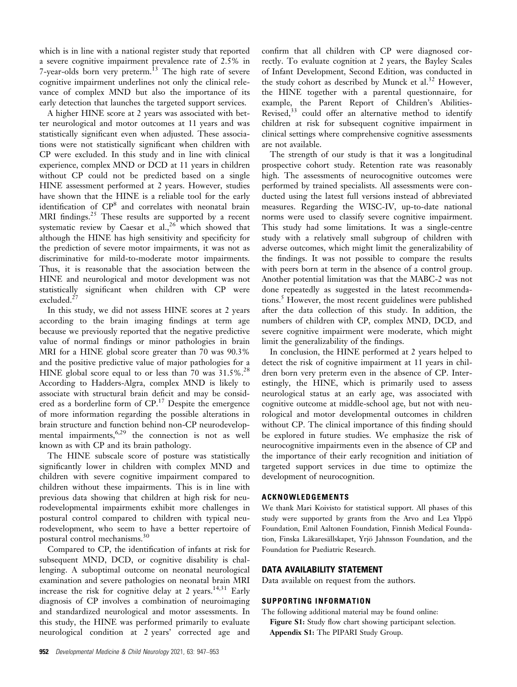which is in line with a national register study that reported a severe cognitive impairment prevalence rate of 2.5% in 7-year-olds born very preterm.<sup>13</sup> The high rate of severe cognitive impairment underlines not only the clinical relevance of complex MND but also the importance of its early detection that launches the targeted support services.

A higher HINE score at 2 years was associated with better neurological and motor outcomes at 11 years and was statistically significant even when adjusted. These associations were not statistically significant when children with CP were excluded. In this study and in line with clinical experience, complex MND or DCD at 11 years in children without CP could not be predicted based on a single HINE assessment performed at 2 years. However, studies have shown that the HINE is a reliable tool for the early identification of CP8 and correlates with neonatal brain MRI findings.<sup>25</sup> These results are supported by a recent systematic review by Caesar et al.,<sup>26</sup> which showed that although the HINE has high sensitivity and specificity for the prediction of severe motor impairments, it was not as discriminative for mild-to-moderate motor impairments. Thus, it is reasonable that the association between the HINE and neurological and motor development was not statistically significant when children with CP were excluded.<sup>27</sup>

In this study, we did not assess HINE scores at 2 years according to the brain imaging findings at term age because we previously reported that the negative predictive value of normal findings or minor pathologies in brain MRI for a HINE global score greater than 70 was 90.3% and the positive predictive value of major pathologies for a HINE global score equal to or less than 70 was  $31.5\%$ .<sup>28</sup> According to Hadders-Algra, complex MND is likely to associate with structural brain deficit and may be considered as a borderline form of  $CP$ .<sup>17</sup> Despite the emergence of more information regarding the possible alterations in brain structure and function behind non-CP neurodevelopmental impairments,<sup>6,29</sup> the connection is not as well known as with CP and its brain pathology.

The HINE subscale score of posture was statistically significantly lower in children with complex MND and children with severe cognitive impairment compared to children without these impairments. This is in line with previous data showing that children at high risk for neurodevelopmental impairments exhibit more challenges in postural control compared to children with typical neurodevelopment, who seem to have a better repertoire of postural control mechanisms.<sup>30</sup>

Compared to CP, the identification of infants at risk for subsequent MND, DCD, or cognitive disability is challenging. A suboptimal outcome on neonatal neurological examination and severe pathologies on neonatal brain MRI increase the risk for cognitive delay at 2 years.<sup>14,31</sup> Early diagnosis of CP involves a combination of neuroimaging and standardized neurological and motor assessments. In this study, the HINE was performed primarily to evaluate neurological condition at 2 years' corrected age and

confirm that all children with CP were diagnosed correctly. To evaluate cognition at 2 years, the Bayley Scales of Infant Development, Second Edition, was conducted in the study cohort as described by Munck et al.<sup>32</sup> However, the HINE together with a parental questionnaire, for example, the Parent Report of Children's Abilities-Revised, $33$  could offer an alternative method to identify children at risk for subsequent cognitive impairment in clinical settings where comprehensive cognitive assessments are not available.

The strength of our study is that it was a longitudinal prospective cohort study. Retention rate was reasonably high. The assessments of neurocognitive outcomes were performed by trained specialists. All assessments were conducted using the latest full versions instead of abbreviated measures. Regarding the WISC-IV, up-to-date national norms were used to classify severe cognitive impairment. This study had some limitations. It was a single-centre study with a relatively small subgroup of children with adverse outcomes, which might limit the generalizability of the findings. It was not possible to compare the results with peers born at term in the absence of a control group. Another potential limitation was that the MABC-2 was not done repeatedly as suggested in the latest recommendations.<sup>5</sup> However, the most recent guidelines were published after the data collection of this study. In addition, the numbers of children with CP, complex MND, DCD, and severe cognitive impairment were moderate, which might limit the generalizability of the findings.

In conclusion, the HINE performed at 2 years helped to detect the risk of cognitive impairment at 11 years in children born very preterm even in the absence of CP. Interestingly, the HINE, which is primarily used to assess neurological status at an early age, was associated with cognitive outcome at middle-school age, but not with neurological and motor developmental outcomes in children without CP. The clinical importance of this finding should be explored in future studies. We emphasize the risk of neurocognitive impairments even in the absence of CP and the importance of their early recognition and initiation of targeted support services in due time to optimize the development of neurocognition.

# ACKNOWLEDGEMENTS

We thank Mari Koivisto for statistical support. All phases of this study were supported by grants from the Arvo and Lea Ylppö Foundation, Emil Aaltonen Foundation, Finnish Medical Foundation, Finska Läkaresällskapet, Yrjö Jahnsson Foundation, and the Foundation for Paediatric Research.

## DATA AVAILABILITY STATEMENT

Data available on request from the authors.

# SUPPORTING INFORMATION

The following additional material may be found online: Figure S1: Study flow chart showing participant selection. Appendix S1: The PIPARI Study Group.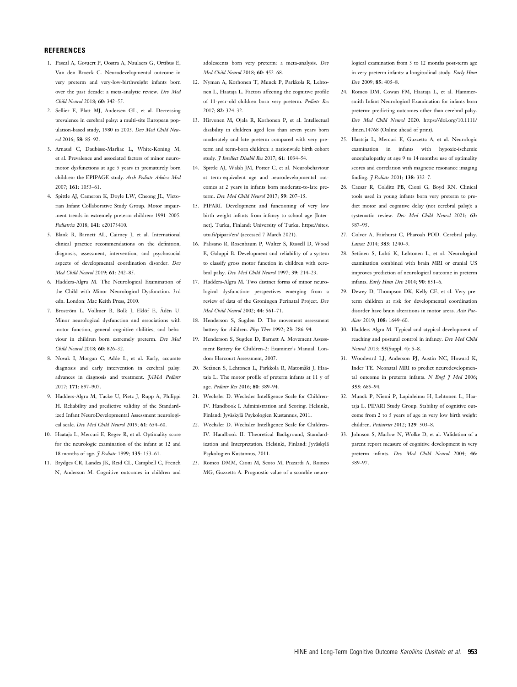## **REFERENCES**

- 1. Pascal A, Govaert P, Oostra A, Naulaers G, Ortibus E, Van den Broeck C. Neurodevelopmental outcome in very preterm and very-low-birthweight infants born over the past decade: a meta-analytic review. Dev Med Child Neurol 2018; 60: 342–55.
- 2. Sellier E, Platt MJ, Andersen GL, et al. Decreasing prevalence in cerebral palsy: a multi-site European population-based study, 1980 to 2003. Dev Med Child Neurol 2016; 58: 85–92.
- 3. Arnaud C, Daubisse-Marliac L, White-Koning M, et al. Prevalence and associated factors of minor neuromotor dysfunctions at age 5 years in prematurely born children: the EPIPAGE study. Arch Pediatr Adolesc Med 2007; 161: 1053–61.
- 4. Spittle AJ, Cameron K, Doyle LW, Cheong JL, Victorian Infant Collaborative Study Group. Motor impairment trends in extremely preterm children: 1991–2005. Pediatrics 2018; 141: e20173410.
- 5. Blank R, Barnett AL, Cairney J, et al. International clinical practice recommendations on the definition, diagnosis, assessment, intervention, and psychosocial aspects of developmental coordination disorder. Dev Med Child Neurol 2019; 61: 242–85.
- 6. Hadders-Algra M. The Neurological Examination of the Child with Minor Neurological Dysfunction. 3rd edn. London: Mac Keith Press, 2010.
- 7. Broström L, Vollmer B, Bolk J, Eklöf E, Ådén U. Minor neurological dysfunction and associations with motor function, general cognitive abilities, and behaviour in children born extremely preterm. Dev Med Child Neurol 2018; 60: 826–32.
- 8. Novak I, Morgan C, Adde L, et al. Early, accurate diagnosis and early intervention in cerebral palsy: advances in diagnosis and treatment. JAMA Pediatr 2017; 171: 897–907.
- 9. Hadders-Algra M, Tacke U, Pietz J, Rupp A, Philippi H. Reliability and predictive validity of the Standardized Infant NeuroDevelopmental Assessment neurological scale. Dev Med Child Neurol 2019; 61: 654–60.
- 10. Haataja L, Mercuri E, Regev R, et al. Optimality score for the neurologic examination of the infant at 12 and 18 months of age. *J Pediatr* 1999; 135: 153-61.
- 11. Brydges CR, Landes JK, Reid CL, Campbell C, French N, Anderson M. Cognitive outcomes in children and

adolescents born very preterm: a meta-analysis. Dev Med Child Neurol 2018; 60: 452–68.

- 12. Nyman A, Korhonen T, Munck P, Parkkola R, Lehtonen L, Haataja L. Factors affecting the cognitive profile of 11-year-old children born very preterm. Pediatr Res 2017; 82: 324–32.
- 13. Hirvonen M, Ojala R, Korhonen P, et al. Intellectual disability in children aged less than seven years born moderately and late preterm compared with very preterm and term-born children: a nationwide birth cohort study. *J Intellect Disabil Res* 2017; 61: 1034-54.
- 14. Spittle AJ, Walsh JM, Potter C, et al. Neurobehaviour at term-equivalent age and neurodevelopmental outcomes at 2 years in infants born moderate-to-late preterm. Dev Med Child Neurol 2017; 59: 207–15.
- 15. PIPARI. Development and functioning of very low birth weight infants from infancy to school age [Internet]. Turku, Finland: University of Turku. [https://sites.](https://sites.utu.fi/pipari/en/) [utu.fi/pipari/en/](https://sites.utu.fi/pipari/en/) (accessed 7 March 2021).
- 16. Palisano R, Rosenbaum P, Walter S, Russell D, Wood E, Galuppi B. Development and reliability of a system to classify gross motor function in children with cerebral palsy. Dev Med Child Neurol 1997; 39: 214–23.
- 17. Hadders-Algra M. Two distinct forms of minor neurological dysfunction: perspectives emerging from a review of data of the Groningen Perinatal Project. Dev Med Child Neurol 2002; 44: 561–71.
- 18. Henderson S, Sugden D. The movement assessment battery for children. Phys Ther 1992; 23: 286–94.
- 19. Henderson S, Sugden D, Barnett A. Movement Assessment Battery for Children-2: Examiner's Manual. London: Harcourt Assessment, 2007.
- 20. Setänen S, Lehtonen L, Parkkola R, Matomäki J, Haataja L. The motor profile of preterm infants at 11 y of age. Pediatr Res 2016; 80: 389–94.
- 21. Wechsler D. Wechsler Intelligence Scale for Children-IV. Handbook I. Administration and Scoring. Helsinki, Finland: Jyväskylä Psykologien Kustannus, 2011.
- 22. Wechsler D. Wechsler Intelligence Scale for Children-IV. Handbook II. Theoretical Background, Standardization and Interpretation. Helsinki, Finland: Jyväskylä Psykologien Kustannus, 2011.
- 23. Romeo DMM, Cioni M, Scoto M, Pizzardi A, Romeo MG, Guzzetta A. Prognostic value of a scorable neuro-

logical examination from 3 to 12 months post-term age in very preterm infants: a longitudinal study. Early Hum Dev 2009; 85: 405–8.

- 24. Romeo DM, Cowan FM, Haataja L, et al. Hammersmith Infant Neurological Examination for infants born preterm: predicting outcomes other than cerebral palsy. Dev Med Child Neurol 2020. [https://doi.org/10.1111/](https://doi.org/10.1111/dmcn.14768) [dmcn.14768](https://doi.org/10.1111/dmcn.14768) (Online ahead of print).
- 25. Haataja L, Mercuri E, Guzzetta A, et al. Neurologic examination in infants with hypoxic-ischemic encephalopathy at age 9 to 14 months: use of optimality scores and correlation with magnetic resonance imaging finding. *7 Pediatr* 2001: **138**: 332-7.
- 26. Caesar R, Colditz PB, Cioni G, Boyd RN. Clinical tools used in young infants born very preterm to predict motor and cognitive delay (not cerebral palsy): a systematic review. Dev Med Child Neurol 2021; 63: 387–95.
- 27. Colver A, Fairhurst C, Pharoah POD. Cerebral palsy. Lancet 2014; 383: 1240–9.
- 28. Setänen S, Lahti K, Lehtonen L, et al. Neurological examination combined with brain MRI or cranial US improves prediction of neurological outcome in preterm infants. Early Hum Dev 2014; 90: 851–6.
- 29. Dewey D, Thompson DK, Kelly CE, et al. Very preterm children at risk for developmental coordination disorder have brain alterations in motor areas. Acta Paediatr 2019; 108: 1649-60.
- 30. Hadders-Algra M. Typical and atypical development of reaching and postural control in infancy. Dev Med Child Neurol 2013; 55(Suppl. 4): 5–8.
- 31. Woodward LJ, Anderson PJ, Austin NC, Howard K, Inder TE. Neonatal MRI to predict neurodevelopmental outcome in preterm infants. N Engl  $\widetilde{f}$  Med 2006; 355: 685–94.
- 32. Munck P, Niemi P, Lapinleimu H, Lehtonen L, Haataja L. PIPARI Study Group. Stability of cognitive outcome from 2 to 5 years of age in very low birth weight children. Pediatrics 2012; 129: 503–8.
- 33. Johnson S, Marlow N, Wolke D, et al. Validation of a parent report measure of cognitive development in very preterm infants. Dev Med Child Neurol 2004; 46: 389–97.